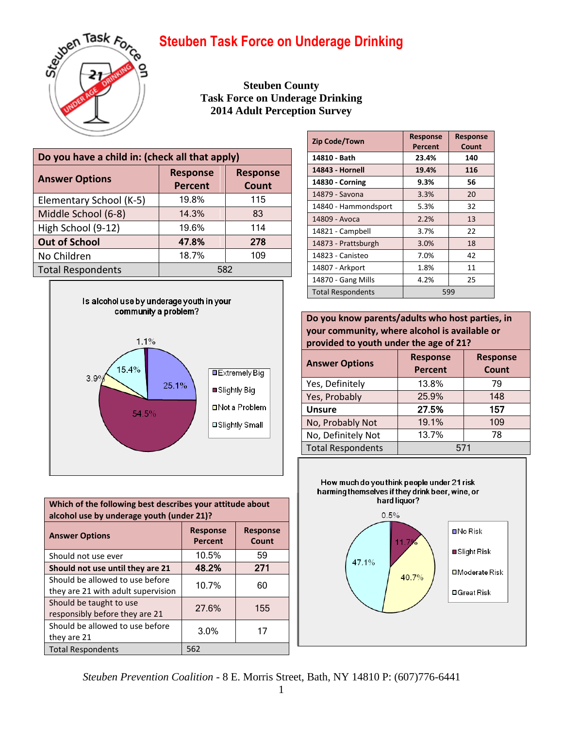

**Steuben County Task Force on Underage Drinking 2014 Adult Perception Survey**

| Do you have a child in: (check all that apply) |                                   |                          |
|------------------------------------------------|-----------------------------------|--------------------------|
| <b>Answer Options</b>                          | <b>Response</b><br><b>Percent</b> | <b>Response</b><br>Count |
| Elementary School (K-5)                        | 19.8%                             | 115                      |
| Middle School (6-8)                            | 14.3%                             | 83                       |
| High School (9-12)                             | 19.6%                             | 114                      |
| <b>Out of School</b>                           | 47.8%                             | 278                      |
| No Children                                    | 18.7%                             | 109                      |
| <b>Total Respondents</b>                       | 582                               |                          |



| Which of the following best describes your attitude about<br>alcohol use by underage youth (under 21)? |                                   |                          |
|--------------------------------------------------------------------------------------------------------|-----------------------------------|--------------------------|
| <b>Answer Options</b>                                                                                  | <b>Response</b><br><b>Percent</b> | <b>Response</b><br>Count |
| Should not use ever                                                                                    | 10.5%                             | 59                       |
| Should not use until they are 21                                                                       | 48.2%                             | 271                      |
| Should be allowed to use before<br>they are 21 with adult supervision                                  | 10.7%                             | 60                       |
| Should be taught to use<br>responsibly before they are 21                                              | 27.6%                             | 155                      |
| Should be allowed to use before<br>they are 21                                                         | 3.0%                              | 17                       |
| <b>Total Respondents</b>                                                                               | 562                               |                          |

| Zip Code/Town            | <b>Response</b><br>Percent | <b>Response</b><br>Count |
|--------------------------|----------------------------|--------------------------|
| 14810 - Bath             | 23.4%                      | 140                      |
| 14843 - Hornell          | 19.4%                      | 116                      |
| 14830 - Corning          | 9.3%                       | 56                       |
| 14879 - Savona           | 3.3%                       | 20                       |
| 14840 - Hammondsport     | 5.3%                       | 32                       |
| 14809 - Avoca            | 2.2%                       | 13                       |
| 14821 - Campbell         | 3.7%                       | 22                       |
| 14873 - Prattsburgh      | 3.0%                       | 18                       |
| 14823 - Canisteo         | 7.0%                       | 42                       |
| 14807 - Arkport          | 1.8%                       | 11                       |
| 14870 - Gang Mills       | 4.2%                       | 25                       |
| <b>Total Respondents</b> |                            | 599                      |

**Do you know parents/adults who host parties, in your community, where alcohol is available or provided to youth under the age of 21?**

| <b>Answer Options</b>    | <b>Response</b><br><b>Percent</b> | <b>Response</b><br><b>Count</b> |
|--------------------------|-----------------------------------|---------------------------------|
| Yes, Definitely          | 13.8%                             | 79                              |
| Yes, Probably            | 25.9%                             | 148                             |
| <b>Unsure</b>            | 27.5%                             | 157                             |
| No, Probably Not         | 19.1%                             | 109                             |
| No, Definitely Not       | 13.7%                             | 78                              |
| <b>Total Respondents</b> | 571                               |                                 |



*Steuben Prevention Coalition* - 8 E. Morris Street, Bath, NY 14810 P: (607)776-6441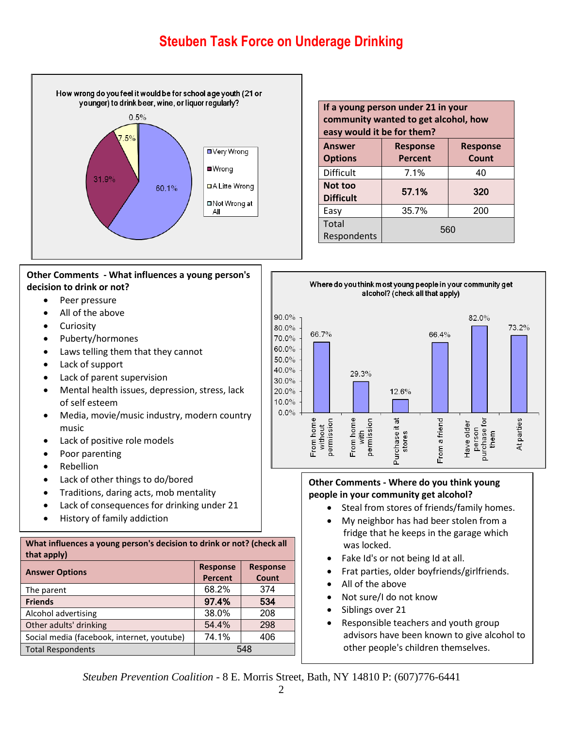

|                           | Other Comments - What influences a young person's |
|---------------------------|---------------------------------------------------|
| decision to drink or not? |                                                   |

- Peer pressure
- All of the above
- **•** Curiosity
- Puberty/hormones
- Laws telling them that they cannot
- Lack of support
- Lack of parent supervision
- Mental health issues, depression, stress, lack of self esteem
- Media, movie/music industry, modern country music
- Lack of positive role models
- Poor parenting
- Rebellion
- Lack of other things to do/bored
- Traditions, daring acts, mob mentality
- Lack of consequences for drinking under 21
- History of family addiction

#### **What influences a young person's decision to drink or not? (check all that apply)**

| <b>Answer Options</b>                      | <b>Response</b> | <b>Response</b> |
|--------------------------------------------|-----------------|-----------------|
|                                            | <b>Percent</b>  | Count           |
| The parent                                 | 68.2%           | 374             |
| <b>Friends</b>                             | 97.4%           | 534             |
| Alcohol advertising                        | 38.0%           | 208             |
| Other adults' drinking                     | 54.4%           | 298             |
| Social media (facebook, internet, youtube) | 74.1%           | 406             |
| <b>Total Respondents</b>                   |                 | 548             |

| If a young person under 21 in your<br>community wanted to get alcohol, how<br>easy would it be for them? |                                   |                          |
|----------------------------------------------------------------------------------------------------------|-----------------------------------|--------------------------|
| <b>Answer</b><br><b>Options</b>                                                                          | <b>Response</b><br><b>Percent</b> | <b>Response</b><br>Count |
| <b>Difficult</b>                                                                                         | 7.1%                              | 40                       |
| Not too<br><b>Difficult</b>                                                                              | 57.1%                             | 320                      |
| Easy                                                                                                     | 35.7%                             | 200                      |
| Total<br>Respondents                                                                                     | 560                               |                          |



### **Other Comments - Where do you think young people in your community get alcohol?**

- Steal from stores of friends/family homes.
- My neighbor has had beer stolen from a fridge that he keeps in the garage which was locked.
- Fake Id's or not being Id at all.
- Frat parties, older boyfriends/girlfriends.
- All of the above
- Not sure/I do not know
- Siblings over 21
- Responsible teachers and youth group advisors have been known to give alcohol to other people's children themselves.

*Steuben Prevention Coalition* - 8 E. Morris Street, Bath, NY 14810 P: (607)776-6441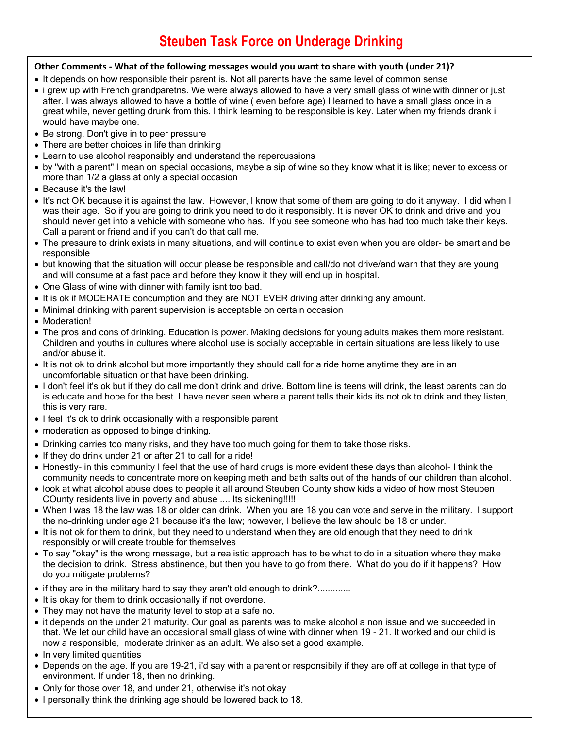### **Other Comments - What of the following messages would you want to share with youth (under 21)?**

- It depends on how responsible their parent is. Not all parents have the same level of common sense
- i grew up with French grandparetns. We were always allowed to have a very small glass of wine with dinner or just after. I was always allowed to have a bottle of wine ( even before age) I learned to have a small glass once in a great while, never getting drunk from this. I think learning to be responsible is key. Later when my friends drank i would have maybe one.
- Be strong. Don't give in to peer pressure
- There are better choices in life than drinking
- Learn to use alcohol responsibly and understand the repercussions
- by "with a parent" I mean on special occasions, maybe a sip of wine so they know what it is like; never to excess or more than 1/2 a glass at only a special occasion
- Because it's the law!
- It's not OK because it is against the law. However, I know that some of them are going to do it anyway. I did when I was their age. So if you are going to drink you need to do it responsibly. It is never OK to drink and drive and you should never get into a vehicle with someone who has. If you see someone who has had too much take their keys. Call a parent or friend and if you can't do that call me.
- The pressure to drink exists in many situations, and will continue to exist even when you are older- be smart and be responsible
- but knowing that the situation will occur please be responsible and call/do not drive/and warn that they are young and will consume at a fast pace and before they know it they will end up in hospital.
- One Glass of wine with dinner with family isnt too bad.
- It is ok if MODERATE concumption and they are NOT EVER driving after drinking any amount.
- Minimal drinking with parent supervision is acceptable on certain occasion
- Moderation!
- The pros and cons of drinking. Education is power. Making decisions for young adults makes them more resistant. Children and youths in cultures where alcohol use is socially acceptable in certain situations are less likely to use and/or abuse it.
- It is not ok to drink alcohol but more importantly they should call for a ride home anytime they are in an uncomfortable situation or that have been drinking.
- I don't feel it's ok but if they do call me don't drink and drive. Bottom line is teens will drink, the least parents can do is educate and hope for the best. I have never seen where a parent tells their kids its not ok to drink and they listen, this is very rare.
- I feel it's ok to drink occasionally with a responsible parent
- moderation as opposed to binge drinking.
- Drinking carries too many risks, and they have too much going for them to take those risks.
- If they do drink under 21 or after 21 to call for a ride!
- Honestly- in this community I feel that the use of hard drugs is more evident these days than alcohol- I think the community needs to concentrate more on keeping meth and bath salts out of the hands of our children than alcohol.
- look at what alcohol abuse does to people it all around Steuben County show kids a video of how most Steuben COunty residents live in poverty and abuse .... Its sickening!!!!!
- When I was 18 the law was 18 or older can drink. When you are 18 you can vote and serve in the military. I support the no-drinking under age 21 because it's the law; however, I believe the law should be 18 or under.
- It is not ok for them to drink, but they need to understand when they are old enough that they need to drink responsibly or will create trouble for themselves
- To say "okay" is the wrong message, but a realistic approach has to be what to do in a situation where they make the decision to drink. Stress abstinence, but then you have to go from there. What do you do if it happens? How do you mitigate problems?
- if they are in the military hard to say they aren't old enough to drink?.............
- It is okay for them to drink occasionally if not overdone.
- They may not have the maturity level to stop at a safe no.
- it depends on the under 21 maturity. Our goal as parents was to make alcohol a non issue and we succeeded in that. We let our child have an occasional small glass of wine with dinner when 19 - 21. It worked and our child is now a responsible, moderate drinker as an adult. We also set a good example.
- In very limited quantities
- environment. If under 18, then no drinking. Depends on the age. If you are 19-21, i'd say with a parent or responsibily if they are off at college in that type of
- 3 Only for those over 18, and under 21, otherwise it's not okay
- I personally think the drinking age should be lowered back to 18.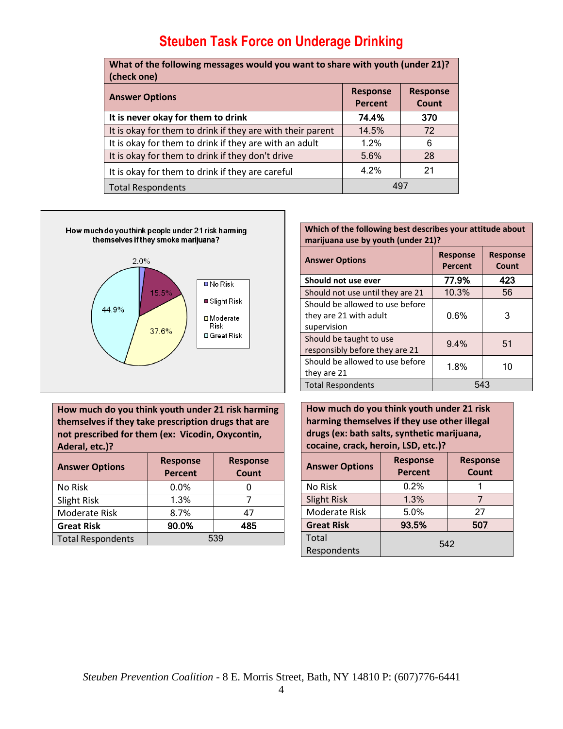| What of the following messages would you want to share with youth (under 21)?<br>(check one) |                            |                          |
|----------------------------------------------------------------------------------------------|----------------------------|--------------------------|
| <b>Answer Options</b>                                                                        | <b>Response</b><br>Percent | <b>Response</b><br>Count |
| It is never okay for them to drink                                                           | 74.4%                      | 370                      |
| It is okay for them to drink if they are with their parent                                   | 14.5%                      | 72                       |
| It is okay for them to drink if they are with an adult                                       | 1.2%                       | 6                        |
| It is okay for them to drink if they don't drive                                             | 5.6%                       | 28                       |
| It is okay for them to drink if they are careful                                             | 4.2%                       | 21                       |
| 497<br><b>Total Respondents</b>                                                              |                            |                          |



**How much do you think youth under 21 risk harming themselves if they take prescription drugs that are not prescribed for them (ex: Vicodin, Oxycontin, Aderal, etc.)?**

| <b>Answer Options</b>    | <b>Response</b><br><b>Percent</b> | <b>Response</b><br>Count |
|--------------------------|-----------------------------------|--------------------------|
| No Risk                  | $0.0\%$                           |                          |
| Slight Risk              | 1.3%                              |                          |
| <b>Moderate Risk</b>     | 8.7%                              | 47                       |
| <b>Great Risk</b>        | 90.0%                             | 485                      |
| <b>Total Respondents</b> | 539                               |                          |

| Which of the following best describes your attitude about |
|-----------------------------------------------------------|
| marijuana use by youth (under 21)?                        |

| <b>Answer Options</b>                                                    | <b>Response</b><br><b>Percent</b> | <b>Response</b><br>Count |  |
|--------------------------------------------------------------------------|-----------------------------------|--------------------------|--|
| Should not use ever                                                      | 77.9%                             | 423                      |  |
| Should not use until they are 21                                         | 10.3%                             | 56                       |  |
| Should be allowed to use before<br>they are 21 with adult<br>supervision | 0.6%                              | 3                        |  |
| Should be taught to use<br>responsibly before they are 21                | 9.4%                              | 51                       |  |
| Should be allowed to use before<br>they are 21                           | 1.8%                              | 10                       |  |
| <b>Total Respondents</b>                                                 |                                   |                          |  |

**How much do you think youth under 21 risk harming themselves if they use other illegal drugs (ex: bath salts, synthetic marijuana, cocaine, crack, heroin, LSD, etc.)?**

| <b>Answer Options</b> | <b>Response</b><br><b>Percent</b> | <b>Response</b><br><b>Count</b> |
|-----------------------|-----------------------------------|---------------------------------|
| No Risk               | 0.2%                              |                                 |
| <b>Slight Risk</b>    | 1.3%                              |                                 |
| <b>Moderate Risk</b>  | 5.0%                              | 27                              |
| <b>Great Risk</b>     | 93.5%                             | 507                             |
| Total<br>Respondents  | 542                               |                                 |